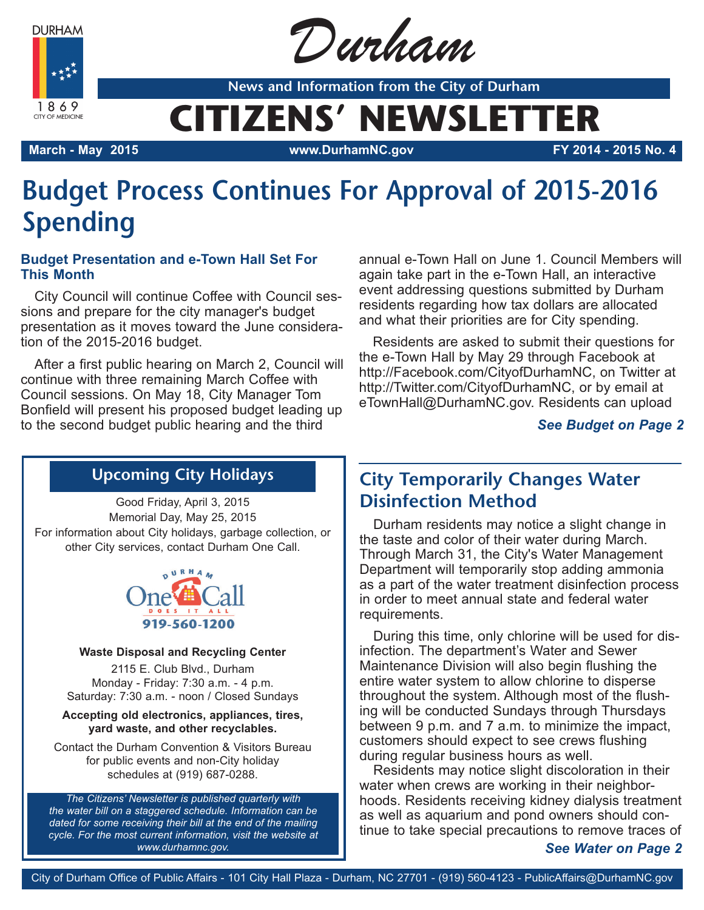**DURHAM** 



Durham

**News and Information from the City of Durham**

# **CITIZENS' NEWSLETTER**

**March - May 2015 www.DurhamNC.gov FY 2014 - 2015 No. 4**

# **Budget Process Continues For Approval of 2015-2016 Spending**

### **Budget Presentation and e-Town Hall Set For This Month**

City Council will continue Coffee with Council sessions and prepare for the city manager's budget presentation as it moves toward the June consideration of the 2015-2016 budget.

After a first public hearing on March 2, Council will continue with three remaining March Coffee with Council sessions. On May 18, City Manager Tom Bonfield will present his proposed budget leading up to the second budget public hearing and the third

annual e-Town Hall on June 1. Council Members will again take part in the e-Town Hall, an interactive event addressing questions submitted by Durham residents regarding how tax dollars are allocated and what their priorities are for City spending.

Residents are asked to submit their questions for the e-Town Hall by May 29 through Facebook at http://Facebook.com/CityofDurhamNC, on Twitter at http://Twitter.com/CityofDurhamNC, or by email at eTownHall@DurhamNC.gov. Residents can upload

### *See Budget on Page 2*

# **Upcoming City Holidays**

Good Friday, April 3, 2015 Memorial Day, May 25, 2015 For information about City holidays, garbage collection, or other City services, contact Durham One Call.



#### **Waste Disposal and Recycling Center**

2115 E. Club Blvd., Durham Monday - Friday: 7:30 a.m. - 4 p.m. Saturday: 7:30 a.m. - noon / Closed Sundays

**Accepting old electronics, appliances, tires, yard waste, and other recyclables.**

Contact the Durham Convention & Visitors Bureau for public events and non-City holiday schedules at (919) 687-0288.

*The Citizens' Newsletter is published quarterly with the water bill on a staggered schedule. Information can be dated for some receiving their bill at the end of the mailing cycle. For the most current information, visit the website at www.durhamnc.gov.*

# **City Temporarily Changes Water Disinfection Method**

Durham residents may notice a slight change in the taste and color of their water during March. Through March 31, the City's Water Management Department will temporarily stop adding ammonia as a part of the water treatment disinfection process in order to meet annual state and federal water requirements.

During this time, only chlorine will be used for disinfection. The department's Water and Sewer Maintenance Division will also begin flushing the entire water system to allow chlorine to disperse throughout the system. Although most of the flushing will be conducted Sundays through Thursdays between 9 p.m. and 7 a.m. to minimize the impact, customers should expect to see crews flushing during regular business hours as well.

Residents may notice slight discoloration in their water when crews are working in their neighborhoods. Residents receiving kidney dialysis treatment as well as aquarium and pond owners should continue to take special precautions to remove traces of

*See Water on Page 2*